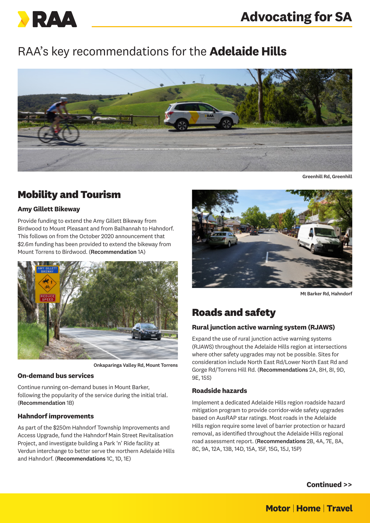

# RAA's key recommendations for the **Adelaide Hills**



Greenhill Rd, Greenhill

# **Mobility and Tourism**

## **Amy Gillett Bikeway**

Provide funding to extend the Amy Gillett Bikeway from Birdwood to Mount Pleasant and from Balhannah to Hahndorf. This follows on from the October 2020 announcement that \$2.6m funding has been provided to extend the bikeway from Mount Torrens to Birdwood. (Recommendation 1A)



Onkaparinga Valley Rd, Mount Torrens

### **On-demand bus services**

Continue running on-demand buses in Mount Barker, following the popularity of the service during the initial trial. (Recommendation 1B)

## **Hahndorf improvements**

As part of the \$250m Hahndorf Township Improvements and Access Upgrade, fund the Hahndorf Main Street Revitalisation Project, and investigate building a Park 'n' Ride facility at Verdun interchange to better serve the northern Adelaide Hills and Hahndorf. (Recommendations 1C, 1D, 1E)



Mt Barker Rd, Hahndorf

# **Roads and safety**

## **Rural junction active warning system (RJAWS)**

Expand the use of rural junction active warning systems (RJAWS) throughout the Adelaide Hills region at intersections where other safety upgrades may not be possible. Sites for consideration include North East Rd/Lower North East Rd and Gorge Rd/Torrens Hill Rd. (Recommendations 2A, 8H, 8I, 9D, 9E, 15S)

## **Roadside hazards**

Implement a dedicated Adelaide Hills region roadside hazard mitigation program to provide corridor-wide safety upgrades based on AusRAP star ratings. Most roads in the Adelaide Hills region require some level of barrier protection or hazard removal, as identified throughout the Adelaide Hills regional road assessment report. (Recommendations 2B, 4A, 7E, 8A, 8C, 9A, 12A, 13B, 14D, 15A, 15F, 15G, 15J, 15P)

**Continued >>**

# **Motor | Home | Travel**